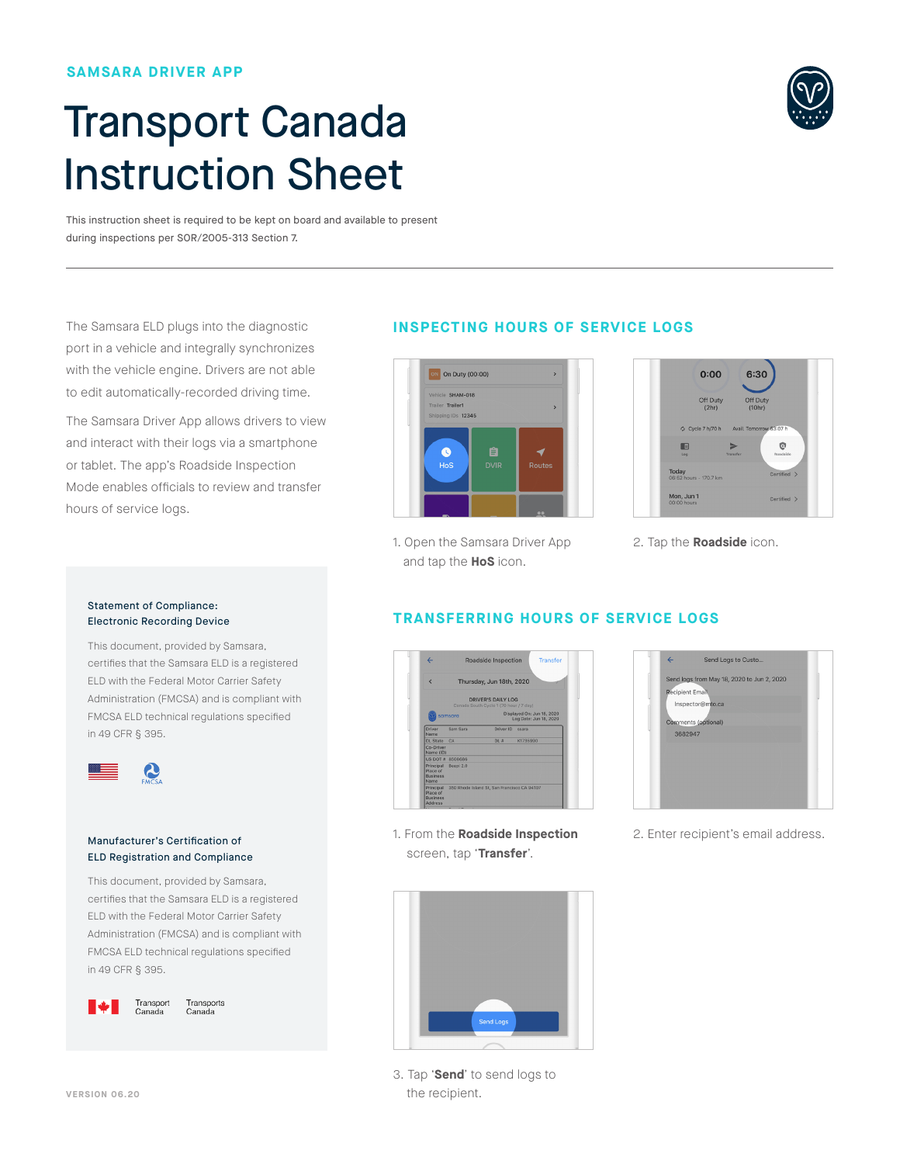### **SAMSARA DRIVER APP**

# Transport Canada Instruction Sheet

This instruction sheet is required to be kept on board and available to present during inspections per SOR/2005-313 Section 7.

The Samsara ELD plugs into the diagnostic port in a vehicle and integrally synchronizes with the vehicle engine. Drivers are not able to edit automatically-recorded driving time.

The Samsara Driver App allows drivers to view and interact with their logs via a smartphone or tablet. The app's Roadside Inspection Mode enables officials to review and transfer hours of service logs.

# **INSPECTING HOURS OF SERVICE LOGS**

**TRANSFERRING HOURS OF SERVICE LOGS**



1. Open the Samsara Driver App and tap the **HoS** icon.

### $0:00$ 6:30 Off Duty<br>(2hr) Off Duty<br>(10hr) Cucle 7 h/70 h  $\mathbf{\hat{Q}}$ E Today<br>06:52 hours  $\overline{100}$ Mon, Jun 1 Certified >

2. Tap the **Roadside** icon.

### Statement of Compliance: Electronic Recording Device

This document, provided by Samsara, certifies that the Samsara ELD is a registered ELD with the Federal Motor Carrier Safety Administration (FMCSA) and is compliant with FMCSA ELD technical regulations specified in 49 CFR § 395.



### Manufacturer's Certification of ELD Registration and Compliance

This document, provided by Samsara, certifies that the Samsara ELD is a registered ELD with the Federal Motor Carrier Safety Administration (FMCSA) and is compliant with FMCSA ELD technical regulations specified in 49 CFR § 395.



Transports Canada



1. From the **Roadside Inspection** screen, tap '**Transfer**'.

| Send Logs to Custo<br>$\leftarrow$         |  |
|--------------------------------------------|--|
| Send logs from May 18, 2020 to Jun 2, 2020 |  |
| Recipient Email                            |  |
| Inspector@mto.ca                           |  |
| Comments (optional)                        |  |
| 3682947                                    |  |
|                                            |  |
|                                            |  |
|                                            |  |
|                                            |  |
|                                            |  |

2. Enter recipient's email address.



3. Tap '**Send**' to send logs to the recipient.